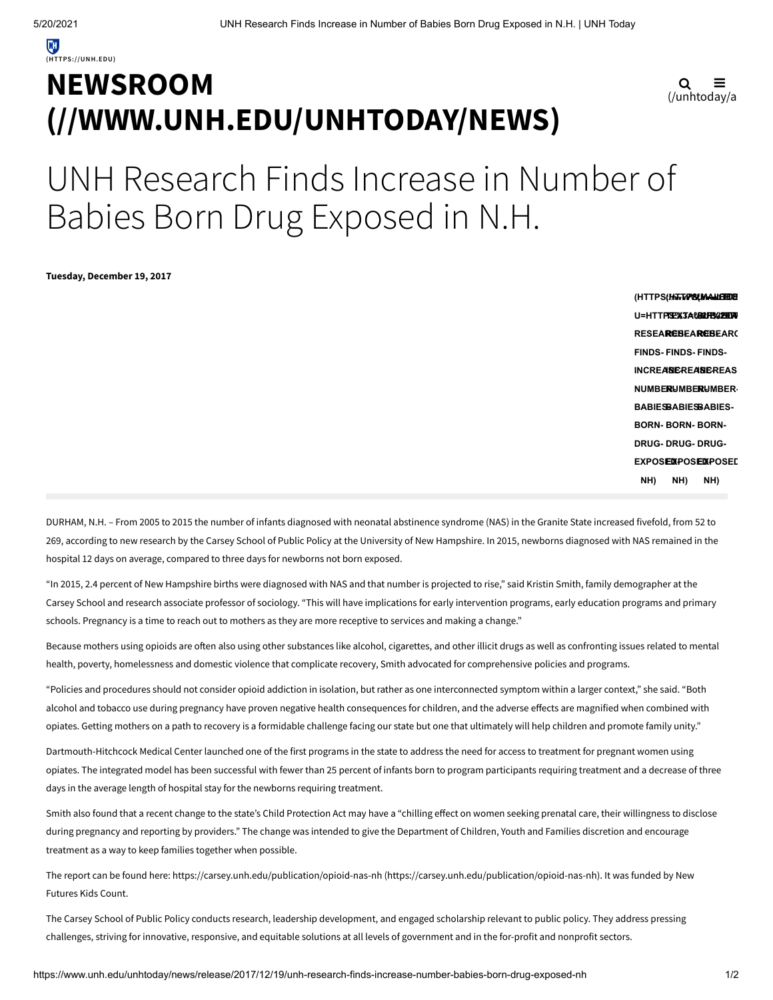## **NEWSROOM [\(//WWW.UNH.EDU/UNHTODAY/NEWS\)](https://www.unh.edu/unhtoday/news)**

$$
\mathbf{Q} \equiv
$$
  
(/unhtoday/a

# UNH Research Finds Increase in Number of Babies Born Drug Exposed in N.H.

**Tuesday, December 19, 2017**

**(HTTPS://WWW.FACEBO (MAILTO:? (HTTPS (HATTPS (MAANE HEDE)<br>U=HTTPSEX 3A U<b>RAPH%200P**A U=HTTPRE%*3AUBLEHB41E*BDAIG<br>RESEARCEBEARCEBEARC **FINDS-FINDS-FINDS-INCREASE-INCREASE-INCREAS** <code>NUMBERUMBER</code> **BABIES-BABIES-BABIES-BORN-BORN-BORN-DRUG-DRUG-DRUG-EXPOSEDAPOSED NH) NH) NH)**

DURHAM, N.H. – From 2005 to 2015 the number of infants diagnosed with neonatal abstinence syndrome (NAS) in the Granite State increased fivefold, from 52 to 269, according to new research by the Carsey School of Public Policy at the University of New Hampshire. In 2015, newborns diagnosed with NAS remained in the hospital 12 days on average, compared to three days for newborns not born exposed.

"In 2015, 2.4 percent of New Hampshire births were diagnosed with NAS and that number is projected to rise," said Kristin Smith, family demographer at the Carsey School and research associate professor of sociology. "This will have implications for early intervention programs, early education programs and primary schools. Pregnancy is a time to reach out to mothers as they are more receptive to services and making a change."

Because mothers using opioids are often also using other substances like alcohol, cigarettes, and other illicit drugs as well as confronting issues related to mental health, poverty, homelessness and domestic violence that complicate recovery, Smith advocated for comprehensive policies and programs.

"Policies and procedures should not consider opioid addiction in isolation, but rather as one interconnected symptom within a larger context," she said. "Both alcohol and tobacco use during pregnancy have proven negative health consequences for children, and the adverse effects are magnified when combined with opiates. Getting mothers on a path to recovery is a formidable challenge facing our state but one that ultimately will help children and promote family unity."

Dartmouth-Hitchcock Medical Center launched one of the first programs in the state to address the need for access to treatment for pregnant women using opiates. The integrated model has been successful with fewer than 25 percent of infants born to program participants requiring treatment and a decrease of three days in the average length of hospital stay for the newborns requiring treatment.

Smith also found that a recent change to the state's Child Protection Act may have a "chilling effect on women seeking prenatal care, their willingness to disclose during pregnancy and reporting by providers." The change was intended to give the Department of Children, Youth and Families discretion and encourage treatment as a way to keep families together when possible.

The report can be found here: https://carsey.unh.edu/publication/opioid-nas-nh [\(https://carsey.unh.edu/publication/opioid-nas-nh\).](https://carsey.unh.edu/publication/opioid-nas-nh) It was funded by New Futures Kids Count.

The Carsey School of Public Policy conducts research, leadership development, and engaged scholarship relevant to public policy. They address pressing challenges, striving for innovative, responsive, and equitable solutions at all levels of government and in the for-profit and nonprofit sectors.